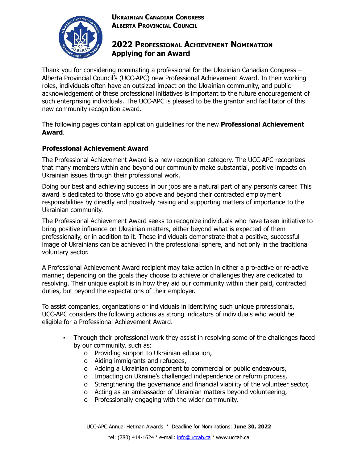### **UKRAINIAN CANADIAN CONGRESS ALBERTA PROVINCIAL COUNCIL**



# **2022 PROFESSIONAL ACHIEVEMENT NOMINATION Applying for an Award**

Thank you for considering nominating a professional for the Ukrainian Canadian Congress – Alberta Provincial Council's (UCC-APC) new Professional Achievement Award. In their working roles, individuals often have an outsized impact on the Ukrainian community, and public acknowledgement of these professional initiatives is important to the future encouragement of such enterprising individuals. The UCC-APC is pleased to be the grantor and facilitator of this new community recognition award.

The following pages contain application guidelines for the new **Professional Achievement Award**.

### **Professional Achievement Award**

The Professional Achievement Award is a new recognition category. The UCC-APC recognizes that many members within and beyond our community make substantial, positive impacts on Ukrainian issues through their professional work.

Doing our best and achieving success in our jobs are a natural part of any person's career. This award is dedicated to those who go above and beyond their contracted employment responsibilities by directly and positively raising and supporting matters of importance to the Ukrainian community.

The Professional Achievement Award seeks to recognize individuals who have taken initiative to bring positive influence on Ukrainian matters, either beyond what is expected of them professionally, or in addition to it. These individuals demonstrate that a positive, successful image of Ukrainians can be achieved in the professional sphere, and not only in the traditional voluntary sector.

A Professional Achievement Award recipient may take action in either a pro-active or re-active manner, depending on the goals they choose to achieve or challenges they are dedicated to resolving. Their unique exploit is in how they aid our community within their paid, contracted duties, but beyond the expectations of their employer.

To assist companies, organizations or individuals in identifying such unique professionals, UCC-APC considers the following actions as strong indicators of individuals who would be eligible for a Professional Achievement Award.

- Through their professional work they assist in resolving some of the challenges faced by our community, such as:
	- o Providing support to Ukrainian education,
	- o Aiding immigrants and refugees,
	- o Adding a Ukrainian component to commercial or public endeavours,
	- o Impacting on Ukraine's challenged independence or reform process,
	- o Strengthening the governance and financial viability of the volunteer sector,
	- o Acting as an ambassador of Ukrainian matters beyond volunteering,
	- o Professionally engaging with the wider community.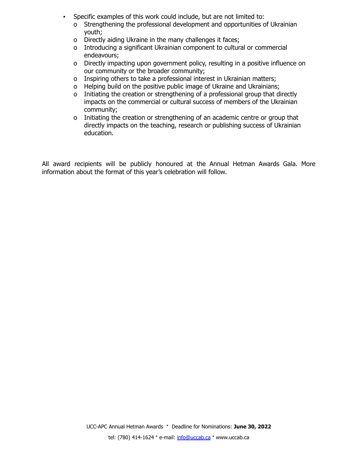- Specific examples of this work could include, but are not limited to:
	- o Strengthening the professional development and opportunities of Ukrainian youth;
	- o Directly aiding Ukraine in the many challenges it faces;
	- o Introducing a significant Ukrainian component to cultural or commercial endeavours;
	- o Directly impacting upon government policy, resulting in a positive influence on our community or the broader community;
	- o Inspiring others to take a professional interest in Ukrainian matters;
	- o Helping build on the positive public image of Ukraine and Ukrainians;
	- o Initiating the creation or strengthening of a professional group that directly impacts on the commercial or cultural success of members of the Ukrainian community;
	- o Initiating the creation or strengthening of an academic centre or group that directly impacts on the teaching, research or publishing success of Ukrainian education.

All award recipients will be publicly honoured at the Annual Hetman Awards Gala. More information about the format of this year's celebration will follow.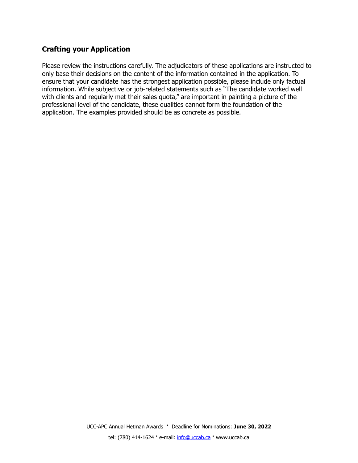## **Crafting your Application**

Please review the instructions carefully. The adjudicators of these applications are instructed to only base their decisions on the content of the information contained in the application. To ensure that your candidate has the strongest application possible, please include only factual information. While subjective or job-related statements such as "The candidate worked well with clients and regularly met their sales quota," are important in painting a picture of the professional level of the candidate, these qualities cannot form the foundation of the application. The examples provided should be as concrete as possible.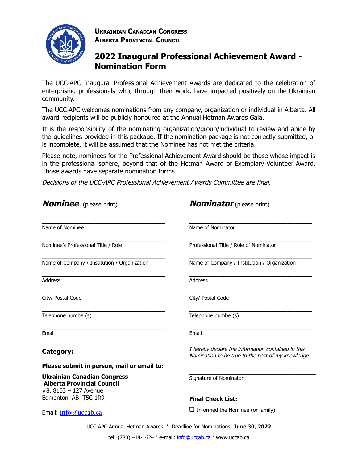

**UKRAINIAN CANADIAN CONGRESS ALBERTA PROVINCIAL COUNCIL**

# **2022 Inaugural Professional Achievement Award - Nomination Form**

The UCC-APC Inaugural Professional Achievement Awards are dedicated to the celebration of enterprising professionals who, through their work, have impacted positively on the Ukrainian community.

The UCC-APC welcomes nominations from any company, organization or individual in Alberta. All award recipients will be publicly honoured at the Annual Hetman Awards Gala.

It is the responsibility of the nominating organization/group/individual to review and abide by the guidelines provided in this package. If the nomination package is not correctly submitted, or is incomplete, it will be assumed that the Nominee has not met the criteria.

Please note, nominees for the Professional Achievement Award should be those whose impact is in the professional sphere, beyond that of the Hetman Award or Exemplary Volunteer Award. Those awards have separate nomination forms.

Decisions of the UCC-APC Professional Achievement Awards Committee are final.

| <b>Nominee</b> (please print)                                                                    | <b>Nominator</b> (please print)                                                                          |
|--------------------------------------------------------------------------------------------------|----------------------------------------------------------------------------------------------------------|
|                                                                                                  |                                                                                                          |
| Name of Nominee                                                                                  | Name of Nominator                                                                                        |
| Nominee's Professional Title / Role                                                              | Professional Title / Role of Nominator                                                                   |
| Name of Company / Institution / Organization                                                     | Name of Company / Institution / Organization                                                             |
| <b>Address</b>                                                                                   | <b>Address</b>                                                                                           |
| City/ Postal Code                                                                                | City/ Postal Code                                                                                        |
| Telephone number(s)                                                                              | Telephone number(s)                                                                                      |
| Email                                                                                            | Email                                                                                                    |
| Category:                                                                                        | I hereby declare the information contained in this<br>Nomination to be true to the best of my knowledge. |
| Please submit in person, mail or email to:                                                       |                                                                                                          |
| <b>Ukrainian Canadian Congress</b><br><b>Alberta Provincial Council</b><br>#8, 8103 - 127 Avenue | Signature of Nominator                                                                                   |
| Edmonton, AB T5C 1R9                                                                             | <b>Final Check List:</b>                                                                                 |
| Email: info@uccab.ca                                                                             | $\Box$ Informed the Nominee (or family)                                                                  |
|                                                                                                  | UCC-APC Annual Hetman Awards * Deadline for Nominations: June 30, 2022                                   |

tel: (780) 414-1624 \* e-mail: [info@uccab.ca](mailto:info@uccab.ca) \* www.uccab.ca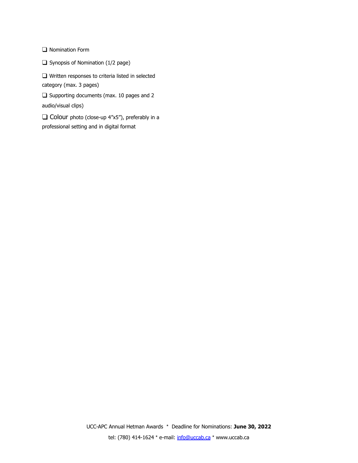❑ Nomination Form

❑ Synopsis of Nomination (1/2 page)

❑ Written responses to criteria listed in selected category (max. 3 pages)

❑ Supporting documents (max. 10 pages and 2 audio/visual clips)

❑ Colour photo (close-up 4"x5"), preferably in a professional setting and in digital format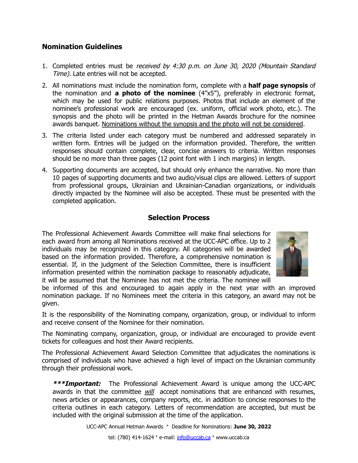### **Nomination Guidelines**

- 1. Completed entries must be received by 4:30 p.m. on June 30, 2020 (Mountain Standard Time). Late entries will not be accepted.
- 2. All nominations must include the nomination form, complete with a **half page synopsis** of the nomination and **a photo of the nominee** (4"x5"), preferably in electronic format, which may be used for public relations purposes. Photos that include an element of the nominee's professional work are encouraged (ex. uniform, official work photo, etc.). The synopsis and the photo will be printed in the Hetman Awards brochure for the nominee awards banquet. Nominations without the synopsis and the photo will not be considered.
- 3. The criteria listed under each category must be numbered and addressed separately in written form. Entries will be judged on the information provided. Therefore, the written responses should contain complete, clear, concise answers to criteria. Written responses should be no more than three pages (12 point font with 1 inch margins) in length.
- 4. Supporting documents are accepted, but should only enhance the narrative. No more than 10 pages of supporting documents and two audio/visual clips are allowed. Letters of support from professional groups, Ukrainian and Ukrainian-Canadian organizations, or individuals directly impacted by the Nominee will also be accepted. These must be presented with the completed application.

### **Selection Process**

The Professional Achievement Awards Committee will make final selections for each award from among all Nominations received at the UCC-APC office. Up to 2 individuals may be recognized in this category. All categories will be awarded based on the information provided. Therefore, a comprehensive nomination is essential. If, in the judgment of the Selection Committee, there is insufficient information presented within the nomination package to reasonably adjudicate, it will be assumed that the Nominee has not met the criteria. The nominee will



be informed of this and encouraged to again apply in the next year with an improved nomination package. If no Nominees meet the criteria in this category, an award may not be given.

It is the responsibility of the Nominating company, organization, group, or individual to inform and receive consent of the Nominee for their nomination.

The Nominating company, organization, group, or individual are encouraged to provide event tickets for colleagues and host their Award recipients.

The Professional Achievement Award Selection Committee that adjudicates the nominations is comprised of individuals who have achieved a high level of impact on the Ukrainian community through their professional work.

**\*\*\*Important:** The Professional Achievement Award is unique among the UCC-APC awards in that the committee *will* accept nominations that are enhanced with resumes, news articles or appearances, company reports, etc. in addition to concise responses to the criteria outlines in each category. Letters of recommendation are accepted, but must be included with the original submission at the time of the application.

UCC-APC Annual Hetman Awards \* Deadline for Nominations: **June 30, 2022**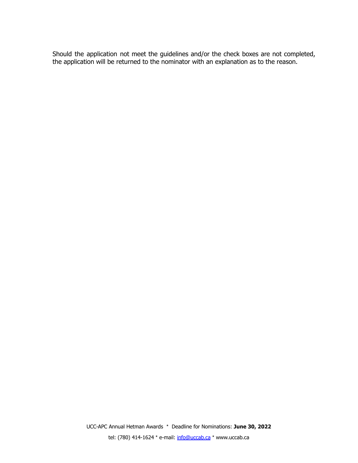Should the application not meet the guidelines and/or the check boxes are not completed, the application will be returned to the nominator with an explanation as to the reason.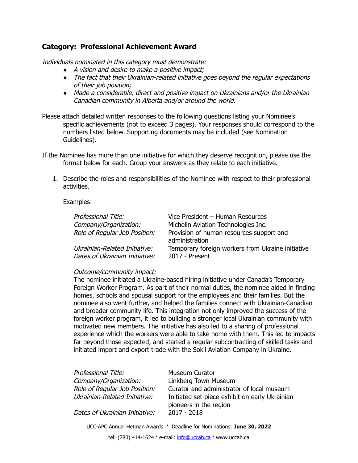### **Category: Professional Achievement Award**

Individuals nominated in this category must demonstrate:

- *●* A vision and desire to make <sup>a</sup> positive impact;
- *●* The fact that their Ukrainian-related initiative goes beyond the regular expectations of their job position;
- *●* Made <sup>a</sup> considerable, direct and positive impact on Ukrainians and/or the Ukrainian Canadian community in Alberta and/or around the world.

Please attach detailed written responses to the following questions listing your Nominee's specific achievements (not to exceed 3 pages). Your responses should correspond to the numbers listed below. Supporting documents may be included (see Nomination Guidelines).

- If the Nominee has more than one initiative for which they deserve recognition, please use the format below for each. Group your answers as they relate to each initiative.
	- 1. Describe the roles and responsibilities of the Nominee with respect to their professional activities.

#### Examples:

| Professional Title:                                             | Vice President - Human Resources                                      |
|-----------------------------------------------------------------|-----------------------------------------------------------------------|
| Company/Organization:                                           | Michelin Aviation Technologies Inc.                                   |
| Role of Regular Job Position:                                   | Provision of human resources support and<br>administration            |
| Ukrainian-Related Initiative:<br>Dates of Ukrainian Initiative: | Temporary foreign workers from Ukraine initiative<br>$2017$ - Present |

#### Outcome/community impact:

The nominee initiated a Ukraine-based hiring initiative under Canada's Temporary Foreign Worker Program. As part of their normal duties, the nominee aided in finding homes, schools and spousal support for the employees and their families. But the nominee also went further, and helped the families connect with Ukrainian-Canadian and broader community life. This integration not only improved the success of the foreign worker program, it led to building a stronger local Ukrainian community with motivated new members. The initiative has also led to a sharing of professional experience which the workers were able to take home with them. This led to impacts far beyond those expected, and started a regular subcontracting of skilled tasks and initiated import and export trade with the Sokil Aviation Company in Ukraine.

| Professional Title:            | Museum Curator                                                           |
|--------------------------------|--------------------------------------------------------------------------|
| Company/Organization:          | Linkberg Town Museum                                                     |
| Role of Regular Job Position:  | Curator and administrator of local museum                                |
| Ukrainian-Related Initiative:  | Initiated set-piece exhibit on early Ukrainian<br>pioneers in the region |
| Dates of Ukrainian Initiative: | $2017 - 2018$                                                            |

UCC-APC Annual Hetman Awards \* Deadline for Nominations: **June 30, 2022**